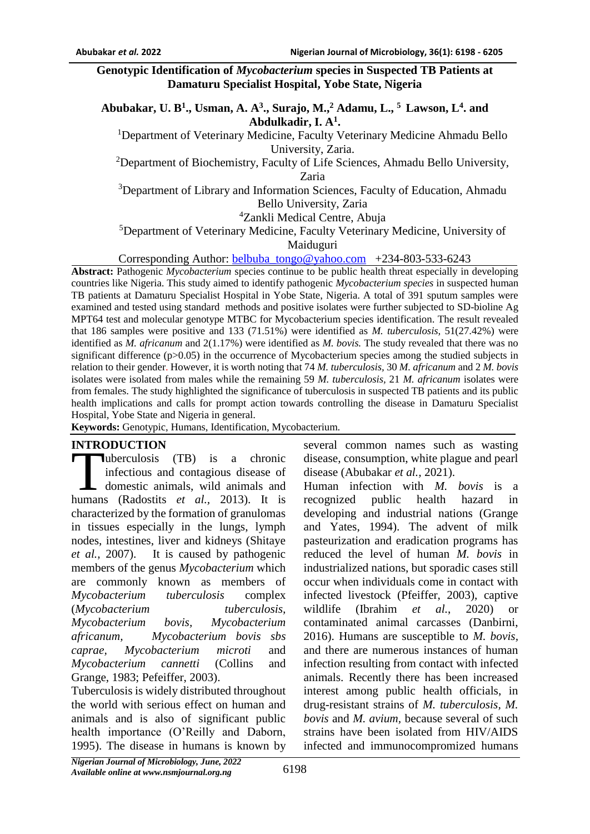#### **Genotypic Identification of** *Mycobacterium* **species in Suspected TB Patients at Damaturu Specialist Hospital, Yobe State, Nigeria**

**Abubakar, U. B<sup>1</sup> ., Usman, A. A<sup>3</sup> ., Surajo, M.,<sup>2</sup> Adamu, L., <sup>5</sup>Lawson, L<sup>4</sup> . and Abdulkadir, I. A<sup>1</sup> .**

<sup>1</sup>Department of Veterinary Medicine, Faculty Veterinary Medicine Ahmadu Bello University, Zaria.

<sup>2</sup>Department of Biochemistry, Faculty of Life Sciences, Ahmadu Bello University, Zaria

<sup>3</sup>Department of Library and Information Sciences, Faculty of Education, Ahmadu Bello University, Zaria

<sup>4</sup>Zankli Medical Centre, Abuja

<sup>5</sup>Department of Veterinary Medicine, Faculty Veterinary Medicine, University of Maiduguri

Corresponding Author: [belbuba\\_tongo@yahoo.com](mailto:belbuba_tongo@yahoo.com) +234-803-533-6243

**Abstract:** Pathogenic *Mycobacterium* species continue to be public health threat especially in developing countries like Nigeria. This study aimed to identify pathogenic *Mycobacterium species* in suspected human TB patients at Damaturu Specialist Hospital in Yobe State, Nigeria. A total of 391 sputum samples were examined and tested using standard methods and positive isolates were further subjected to SD-bioline Ag MPT64 test and molecular genotype MTBC for Mycobacterium species identification. The result revealed that 186 samples were positive and 133 (71.51%) were identified as *M. tuberculosis,* 51(27.42%) were identified as *M. africanum* and 2(1.17%) were identified as *M. bovis.* The study revealed that there was no significant difference (p>0.05) in the occurrence of Mycobacterium species among the studied subjects in relation to their gender. However, it is worth noting that 74 *M. tuberculosis,* 30 *M. africanum* and 2 *M. bovis*  isolates were isolated from males while the remaining 59 *M. tuberculosis,* 21 *M. africanum* isolates were from females. The study highlighted the significance of tuberculosis in suspected TB patients and its public health implications and calls for prompt action towards controlling the disease in Damaturu Specialist Hospital, Yobe State and Nigeria in general.

**Keywords:** Genotypic, Humans, Identification, Mycobacterium.

## **INTRODUCTION**

uberculosis (TB) is a chronic infectious and contagious disease of domestic animals, wild animals and **EXECUTE:**<br>
uberculosis (TB) is a chronic<br>
infectious and contagious disease of<br>
domestic animals, wild animals and<br>
humans (Radostits *et al.*, 2013). It is characterized by the formation of granulomas in tissues especially in the lungs, lymph nodes, intestines, liver and kidneys (Shitaye *et al.,* 2007). It is caused by pathogenic members of the genus *Mycobacterium* which are commonly known as members of *Mycobacterium tuberculosis* complex (*Mycobacterium tuberculosis, Mycobacterium bovis, Mycobacterium africanum, Mycobacterium bovis sbs caprae, Mycobacterium microti* and *Mycobacterium cannetti* (Collins and Grange, 1983; Pefeiffer, 2003).

Tuberculosis is widely distributed throughout the world with serious effect on human and animals and is also of significant public health importance (O'Reilly and Daborn, 1995). The disease in humans is known by

several common names such as wasting disease, consumption, white plague and pearl disease (Abubakar *et al.,* 2021).

Human infection with *M. bovis* is a recognized public health hazard in developing and industrial nations (Grange and Yates, 1994). The advent of milk pasteurization and eradication programs has reduced the level of human *M. bovis* in industrialized nations, but sporadic cases still occur when individuals come in contact with infected livestock (Pfeiffer, 2003), captive wildlife (Ibrahim *et al.*, 2020) or contaminated animal carcasses (Danbirni, 2016). Humans are susceptible to *M. bovis,*  and there are numerous instances of human infection resulting from contact with infected animals. Recently there has been increased interest among public health officials, in drug-resistant strains of *M. tuberculosis, M. bovis* and *M. avium,* because several of such strains have been isolated from HIV/AIDS infected and immunocompromized humans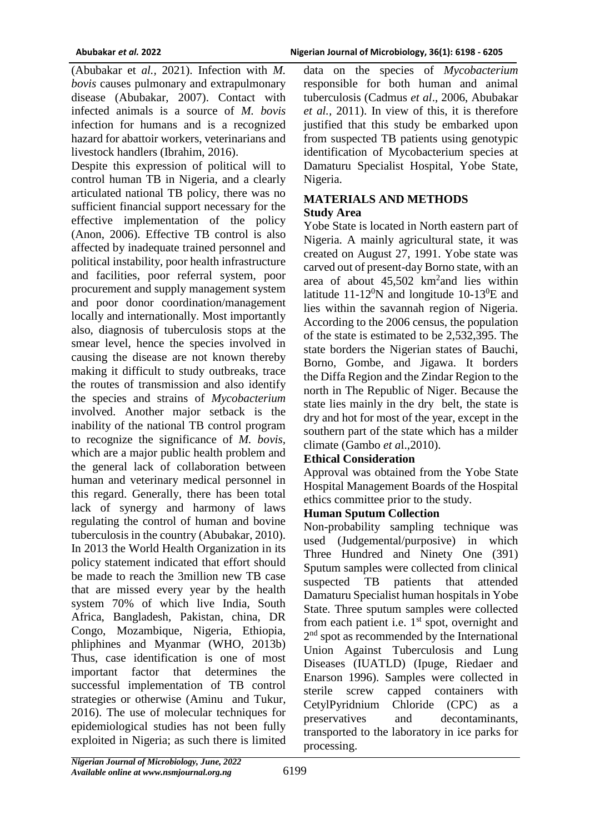(Abubakar et *al.,* 2021). Infection with *M. bovis* causes pulmonary and extrapulmonary disease (Abubakar, 2007). Contact with infected animals is a source of *M. bovis* infection for humans and is a recognized hazard for abattoir workers, veterinarians and livestock handlers (Ibrahim, 2016).

Despite this expression of political will to control human TB in Nigeria, and a clearly articulated national TB policy, there was no sufficient financial support necessary for the effective implementation of the policy (Anon, 2006). Effective TB control is also affected by inadequate trained personnel and political instability, poor health infrastructure and facilities, poor referral system, poor procurement and supply management system and poor donor coordination/management locally and internationally. Most importantly also, diagnosis of tuberculosis stops at the smear level, hence the species involved in causing the disease are not known thereby making it difficult to study outbreaks, trace the routes of transmission and also identify the species and strains of *Mycobacterium*  involved. Another major setback is the inability of the national TB control program to recognize the significance of *M. bovis,*  which are a major public health problem and the general lack of collaboration between human and veterinary medical personnel in this regard. Generally, there has been total lack of synergy and harmony of laws regulating the control of human and bovine tuberculosis in the country (Abubakar, 2010). In 2013 the World Health Organization in its policy statement indicated that effort should be made to reach the 3million new TB case that are missed every year by the health system 70% of which live India, South Africa, Bangladesh, Pakistan, china, DR Congo, Mozambique, Nigeria, Ethiopia, phliphines and Myanmar (WHO, 2013b) Thus, case identification is one of most important factor that determines the successful implementation of TB control strategies or otherwise (Aminu and Tukur, 2016). The use of molecular techniques for epidemiological studies has not been fully exploited in Nigeria; as such there is limited

data on the species of *Mycobacterium* responsible for both human and animal tuberculosis (Cadmus *et al*., 2006, Abubakar *et al.,* 2011). In view of this, it is therefore justified that this study be embarked upon from suspected TB patients using genotypic identification of Mycobacterium species at Damaturu Specialist Hospital, Yobe State, Nigeria.

# **MATERIALS AND METHODS Study Area**

Yobe State is located in North eastern part of Nigeria. A mainly agricultural state, it was created on August 27, 1991. Yobe state was carved out of present-day Borno state, with an area of about  $45,502$  km<sup>2</sup> and lies within latitude 11-12<sup>0</sup>N and longitude 10-13<sup>0</sup>E and lies within the savannah region of Nigeria. According to the 2006 census, the population of the state is estimated to be 2,532,395. The state borders the Nigerian states of Bauchi, Borno, Gombe, and Jigawa. It borders the Diffa Region and the Zindar Region to the north in The Republic of Niger. Because the state lies mainly in the dry belt, the state is dry and hot for most of the year, except in the southern part of the state which has a milder climate (Gambo *et a*l.,2010).

# **Ethical Consideration**

Approval was obtained from the Yobe State Hospital Management Boards of the Hospital ethics committee prior to the study.

## **Human Sputum Collection**

Non-probability sampling technique was used (Judgemental/purposive) in which Three Hundred and Ninety One (391) Sputum samples were collected from clinical suspected TB patients that attended Damaturu Specialist human hospitals in Yobe State. Three sputum samples were collected from each patient i.e.  $1<sup>st</sup>$  spot, overnight and 2<sup>nd</sup> spot as recommended by the International Union Against Tuberculosis and Lung Diseases (IUATLD) (Ipuge, Riedaer and Enarson 1996). Samples were collected in sterile screw capped containers with CetylPyridnium Chloride (CPC) as a preservatives and decontaminants, transported to the laboratory in ice parks for processing.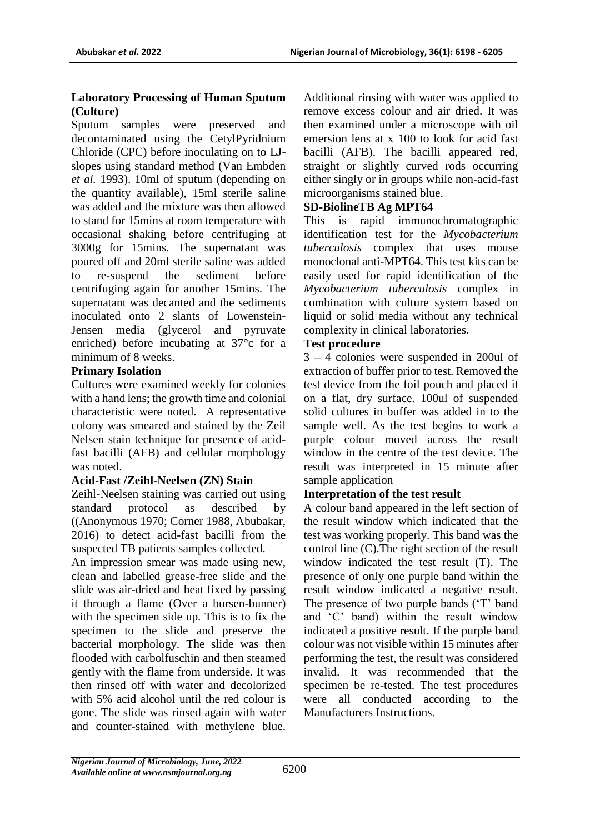## **Laboratory Processing of Human Sputum (Culture)**

Sputum samples were preserved and decontaminated using the CetylPyridnium Chloride (CPC) before inoculating on to LJslopes using standard method (Van Embden *et al.* 1993). 10ml of sputum (depending on the quantity available), 15ml sterile saline was added and the mixture was then allowed to stand for 15mins at room temperature with occasional shaking before centrifuging at 3000g for 15mins. The supernatant was poured off and 20ml sterile saline was added to re-suspend the sediment before centrifuging again for another 15mins. The supernatant was decanted and the sediments inoculated onto 2 slants of Lowenstein-Jensen media (glycerol and pyruvate enriched) before incubating at 37°c for a minimum of 8 weeks.

# **Primary Isolation**

Cultures were examined weekly for colonies with a hand lens; the growth time and colonial characteristic were noted. A representative colony was smeared and stained by the Zeil Nelsen stain technique for presence of acidfast bacilli (AFB) and cellular morphology was noted.

## **Acid-Fast /Zeihl-Neelsen (ZN) Stain**

Zeihl-Neelsen staining was carried out using standard protocol as described by ((Anonymous 1970; Corner 1988, Abubakar, 2016) to detect acid-fast bacilli from the suspected TB patients samples collected.

An impression smear was made using new, clean and labelled grease-free slide and the slide was air-dried and heat fixed by passing it through a flame (Over a bursen-bunner) with the specimen side up. This is to fix the specimen to the slide and preserve the bacterial morphology. The slide was then flooded with carbolfuschin and then steamed gently with the flame from underside. It was then rinsed off with water and decolorized with 5% acid alcohol until the red colour is gone. The slide was rinsed again with water and counter-stained with methylene blue.

Additional rinsing with water was applied to remove excess colour and air dried. It was then examined under a microscope with oil emersion lens at x 100 to look for acid fast bacilli (AFB). The bacilli appeared red, straight or slightly curved rods occurring either singly or in groups while non-acid-fast microorganisms stained blue.

# **SD-BiolineTB Ag MPT64**

This is rapid immunochromatographic identification test for the *Mycobacterium tuberculosis* complex that uses mouse monoclonal anti-MPT64. This test kits can be easily used for rapid identification of the *Mycobacterium tuberculosis* complex in combination with culture system based on liquid or solid media without any technical complexity in clinical laboratories.

# **Test procedure**

3 – 4 colonies were suspended in 200ul of extraction of buffer prior to test. Removed the test device from the foil pouch and placed it on a flat, dry surface. 100ul of suspended solid cultures in buffer was added in to the sample well. As the test begins to work a purple colour moved across the result window in the centre of the test device. The result was interpreted in 15 minute after sample application

# **Interpretation of the test result**

A colour band appeared in the left section of the result window which indicated that the test was working properly. This band was the control line (C).The right section of the result window indicated the test result (T). The presence of only one purple band within the result window indicated a negative result. The presence of two purple bands ('T' band and 'C' band) within the result window indicated a positive result. If the purple band colour was not visible within 15 minutes after performing the test, the result was considered invalid. It was recommended that the specimen be re-tested. The test procedures were all conducted according to the Manufacturers Instructions.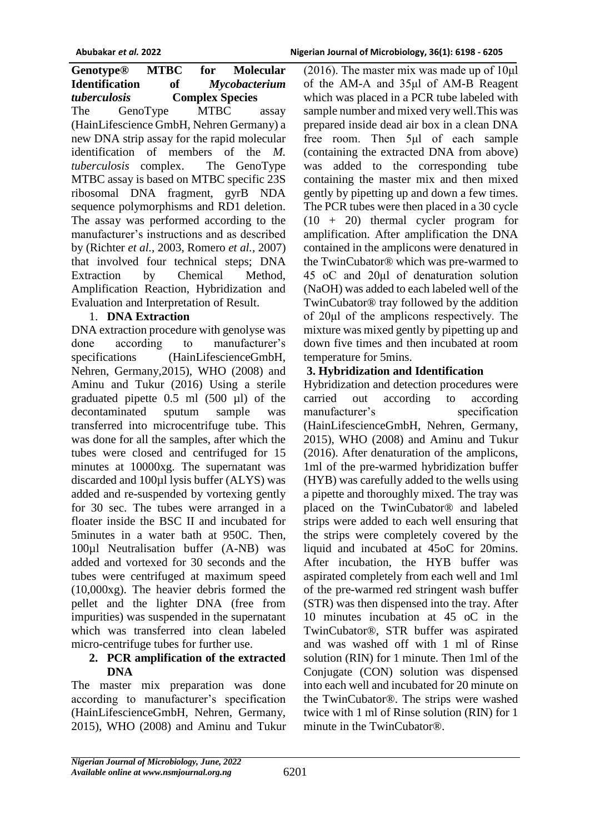**Genotype® MTBC for Molecular Identification of** *Mycobacterium tuberculosis* **Complex Species** The GenoType MTBC assay (HainLifescience GmbH, Nehren Germany) a new DNA strip assay for the rapid molecular identification of members of the *M. tuberculosis* complex. The GenoType MTBC assay is based on MTBC specific 23S ribosomal DNA fragment, gyrB NDA sequence polymorphisms and RD1 deletion. The assay was performed according to the manufacturer's instructions and as described by (Richter *et al.,* 2003, Romero *et al.,* 2007) that involved four technical steps; DNA Extraction by Chemical Method, Amplification Reaction, Hybridization and Evaluation and Interpretation of Result.

# 1. **DNA Extraction**

DNA extraction procedure with genolyse was done according to manufacturer's specifications (HainLifescienceGmbH, Nehren, Germany,2015), WHO (2008) and Aminu and Tukur (2016) Using a sterile graduated pipette 0.5 ml (500 µl) of the decontaminated sputum sample was transferred into microcentrifuge tube. This was done for all the samples, after which the tubes were closed and centrifuged for 15 minutes at 10000xg. The supernatant was discarded and 100µl lysis buffer (ALYS) was added and re-suspended by vortexing gently for 30 sec. The tubes were arranged in a floater inside the BSC II and incubated for 5minutes in a water bath at 950C. Then, 100µl Neutralisation buffer (A-NB) was added and vortexed for 30 seconds and the tubes were centrifuged at maximum speed (10,000xg). The heavier debris formed the pellet and the lighter DNA (free from impurities) was suspended in the supernatant which was transferred into clean labeled micro-centrifuge tubes for further use.

## **2. PCR amplification of the extracted DNA**

The master mix preparation was done according to manufacturer's specification (HainLifescienceGmbH, Nehren, Germany, 2015), WHO (2008) and Aminu and Tukur

(2016). The master mix was made up of  $10\mu$ l of the AM-A and 35μl of AM-B Reagent which was placed in a PCR tube labeled with sample number and mixed very well.This was prepared inside dead air box in a clean DNA free room. Then 5μl of each sample (containing the extracted DNA from above) was added to the corresponding tube containing the master mix and then mixed gently by pipetting up and down a few times. The PCR tubes were then placed in a 30 cycle (10 + 20) thermal cycler program for amplification. After amplification the DNA contained in the amplicons were denatured in the TwinCubator® which was pre-warmed to 45 oC and 20μl of denaturation solution (NaOH) was added to each labeled well of the TwinCubator® tray followed by the addition of 20μl of the amplicons respectively. The mixture was mixed gently by pipetting up and down five times and then incubated at room temperature for 5mins.

# **3. Hybridization and Identification**

Hybridization and detection procedures were carried out according to according manufacturer's specification (HainLifescienceGmbH, Nehren, Germany, 2015), WHO (2008) and Aminu and Tukur (2016). After denaturation of the amplicons, 1ml of the pre-warmed hybridization buffer (HYB) was carefully added to the wells using a pipette and thoroughly mixed. The tray was placed on the TwinCubator® and labeled strips were added to each well ensuring that the strips were completely covered by the liquid and incubated at 45oC for 20mins. After incubation, the HYB buffer was aspirated completely from each well and 1ml of the pre-warmed red stringent wash buffer (STR) was then dispensed into the tray. After 10 minutes incubation at 45 oC in the TwinCubator®, STR buffer was aspirated and was washed off with 1 ml of Rinse solution (RIN) for 1 minute. Then 1ml of the Conjugate (CON) solution was dispensed into each well and incubated for 20 minute on the TwinCubator®. The strips were washed twice with 1 ml of Rinse solution (RIN) for 1 minute in the TwinCubator®.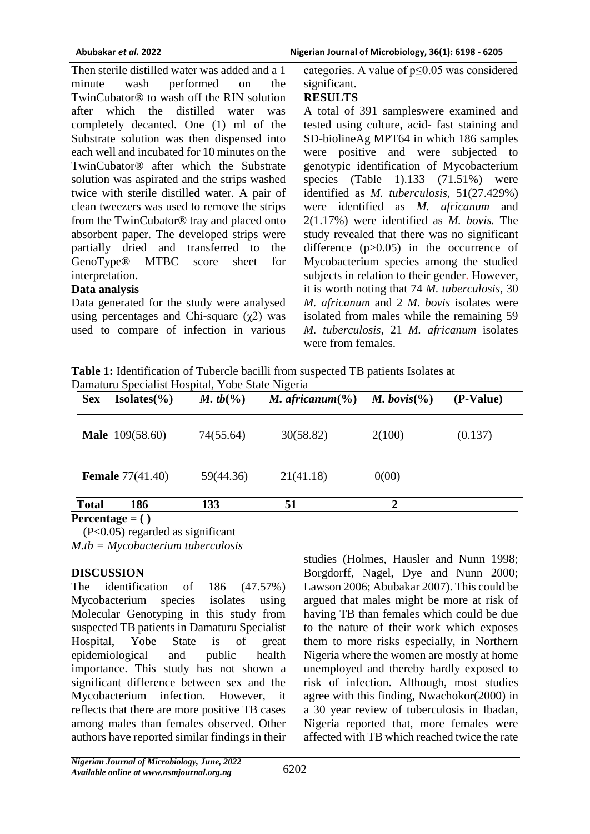Then sterile distilled water was added and a 1 minute wash performed on the TwinCubator® to wash off the RIN solution after which the distilled water was completely decanted. One (1) ml of the Substrate solution was then dispensed into each well and incubated for 10 minutes on the TwinCubator® after which the Substrate solution was aspirated and the strips washed twice with sterile distilled water. A pair of clean tweezers was used to remove the strips from the TwinCubator® tray and placed onto absorbent paper. The developed strips were partially dried and transferred to the GenoType® MTBC score sheet for interpretation.

#### **Data analysis**

Data generated for the study were analysed using percentages and Chi-square  $(\gamma 2)$  was used to compare of infection in various categories. A value of p≤0.05 was considered significant.

## **RESULTS**

A total of 391 sampleswere examined and tested using culture, acid- fast staining and SD-biolineAg MPT64 in which 186 samples were positive and were subjected to genotypic identification of Mycobacterium species (Table 1).133 (71.51%) were identified as *M. tuberculosis,* 51(27.429%) were identified as *M. africanum* and 2(1.17%) were identified as *M. bovis.* The study revealed that there was no significant difference  $(p>0.05)$  in the occurrence of Mycobacterium species among the studied subjects in relation to their gender. However, it is worth noting that 74 *M. tuberculosis,* 30 *M. africanum* and 2 *M. bovis* isolates were isolated from males while the remaining 59 *M. tuberculosis,* 21 *M. africanum* isolates were from females.

**Table 1:** Identification of Tubercle bacilli from suspected TB patients Isolates at Damaturu Specialist Hospital, Yobe State Nigeria

| <b>Sex</b>   | $Isolates(\% )$         | M. tb( $\%$ ) | M. africanum $(\% )$ | <i>M.</i> bovis(%) | (P-Value) |
|--------------|-------------------------|---------------|----------------------|--------------------|-----------|
|              | <b>Male</b> 109(58.60)  | 74(55.64)     | 30(58.82)            | 2(100)             | (0.137)   |
|              | <b>Female</b> 77(41.40) | 59(44.36)     | 21(41.18)            | 0(00)              |           |
| <b>Total</b> | 186                     | 133           | 51                   | 2                  |           |
|              | Percentage $= ()$       |               |                      |                    |           |

 (P<0.05) regarded as significant *M.tb = Mycobacterium tuberculosis*

## **DISCUSSION**

The identification of 186 (47.57%) Mycobacterium species isolates using Molecular Genotyping in this study from suspected TB patients in Damaturu Specialist Hospital, Yobe State is of great epidemiological and public health importance. This study has not shown a significant difference between sex and the Mycobacterium infection. However, it reflects that there are more positive TB cases among males than females observed. Other authors have reported similar findings in their

studies (Holmes, Hausler and Nunn 1998; Borgdorff, Nagel, Dye and Nunn 2000; Lawson 2006; Abubakar 2007). This could be argued that males might be more at risk of having TB than females which could be due to the nature of their work which exposes them to more risks especially, in Northern Nigeria where the women are mostly at home unemployed and thereby hardly exposed to risk of infection. Although, most studies agree with this finding, Nwachokor(2000) in a 30 year review of tuberculosis in Ibadan, Nigeria reported that, more females were affected with TB which reached twice the rate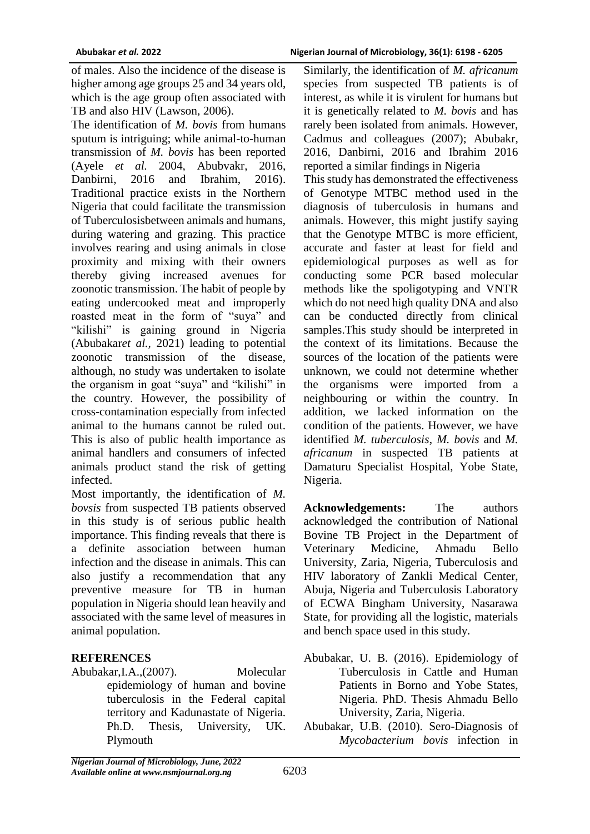of males. Also the incidence of the disease is higher among age groups 25 and 34 years old, which is the age group often associated with TB and also HIV (Lawson, 2006).

The identification of *M. bovis* from humans sputum is intriguing; while animal-to-human transmission of *M. bovis* has been reported (Ayele *et al.* 2004, Abubvakr, 2016, Danbirni, 2016 and Ibrahim, 2016). Traditional practice exists in the Northern Nigeria that could facilitate the transmission of Tuberculosisbetween animals and humans, during watering and grazing. This practice involves rearing and using animals in close proximity and mixing with their owners thereby giving increased avenues for zoonotic transmission. The habit of people by eating undercooked meat and improperly roasted meat in the form of "suya" and "kilishi" is gaining ground in Nigeria (Abubakar*et al.,* 2021) leading to potential zoonotic transmission of the disease, although, no study was undertaken to isolate the organism in goat "suya" and "kilishi" in the country. However, the possibility of cross-contamination especially from infected animal to the humans cannot be ruled out. This is also of public health importance as animal handlers and consumers of infected animals product stand the risk of getting infected.

Most importantly, the identification of *M. bovsis* from suspected TB patients observed in this study is of serious public health importance. This finding reveals that there is a definite association between human infection and the disease in animals. This can also justify a recommendation that any preventive measure for TB in human population in Nigeria should lean heavily and associated with the same level of measures in animal population.

## **REFERENCES**

Abubakar,I.A.,(2007). Molecular epidemiology of human and bovine tuberculosis in the Federal capital territory and Kadunastate of Nigeria. Ph.D. Thesis, University, UK. Plymouth

Similarly, the identification of *M. africanum* species from suspected TB patients is of interest, as while it is virulent for humans but it is genetically related to *M. bovis* and has rarely been isolated from animals. However, Cadmus and colleagues (2007); Abubakr, 2016, Danbirni, 2016 and Ibrahim 2016 reported a similar findings in Nigeria

This study has demonstrated the effectiveness of Genotype MTBC method used in the diagnosis of tuberculosis in humans and animals. However, this might justify saying that the Genotype MTBC is more efficient, accurate and faster at least for field and epidemiological purposes as well as for conducting some PCR based molecular methods like the spoligotyping and VNTR which do not need high quality DNA and also can be conducted directly from clinical samples.This study should be interpreted in the context of its limitations. Because the sources of the location of the patients were unknown, we could not determine whether the organisms were imported from a neighbouring or within the country. In addition, we lacked information on the condition of the patients. However, we have identified *M. tuberculosis*, *M. bovis* and *M. africanum* in suspected TB patients at Damaturu Specialist Hospital, Yobe State, Nigeria.

**Acknowledgements:** The authors acknowledged the contribution of National Bovine TB Project in the Department of Veterinary Medicine, Ahmadu Bello University, Zaria, Nigeria, Tuberculosis and HIV laboratory of Zankli Medical Center, Abuja, Nigeria and Tuberculosis Laboratory of ECWA Bingham University, Nasarawa State, for providing all the logistic, materials and bench space used in this study.

- Abubakar, U. B. (2016). Epidemiology of Tuberculosis in Cattle and Human Patients in Borno and Yobe States, Nigeria. PhD. Thesis Ahmadu Bello University, Zaria, Nigeria.
- Abubakar, U.B. (2010). Sero-Diagnosis of *Mycobacterium bovis* infection in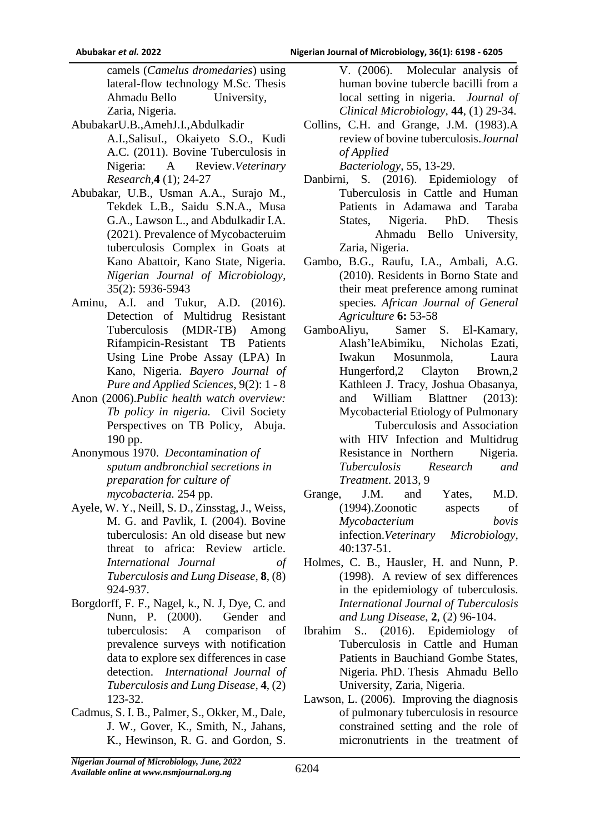camels (*Camelus dromedaries*) using lateral-flow technology M.Sc. Thesis Ahmadu Bello University, Zaria, Nigeria.

- AbubakarU.B.,AmehJ.I.,Abdulkadir A.I.,SalisuI., Okaiyeto S.O., Kudi A.C. (2011). Bovine Tuberculosis in Nigeria: A Review.*Veterinary Research,***4** (1); 24-27
- Abubakar, U.B., Usman A.A., Surajo M., Tekdek L.B., Saidu S.N.A., Musa G.A., Lawson L., and Abdulkadir I.A. (2021). Prevalence of Mycobacteruim tuberculosis Complex in Goats at Kano Abattoir, Kano State, Nigeria. *Nigerian Journal of Microbiology*, 35(2): 5936-5943
- Aminu, A.I. and Tukur, A.D. (2016). Detection of Multidrug Resistant Tuberculosis (MDR-TB) Among Rifampicin-Resistant TB Patients Using Line Probe Assay (LPA) In Kano, Nigeria. *Bayero Journal of Pure and Applied Sciences*, 9(2): 1 - 8
- Anon (2006).*Public health watch overview: Tb policy in nigeria.* Civil Society Perspectives on TB Policy, Abuja. 190 pp.
- Anonymous 1970. *Decontamination of sputum andbronchial secretions in preparation for culture of mycobacteria.* 254 pp.
- Ayele, W. Y., Neill, S. D., Zinsstag, J., Weiss, M. G. and Pavlik, I. (2004). Bovine tuberculosis: An old disease but new threat to africa: Review article. *International Journal of Tuberculosis and Lung Disease*, **8**, (8) 924-937.
- Borgdorff, F. F., Nagel, k., N. J, Dye, C. and Nunn, P. (2000). Gender and tuberculosis: A comparison of prevalence surveys with notification data to explore sex differences in case detection. *International Journal of Tuberculosis and Lung Disease*, **4**, (2) 123-32.
- Cadmus, S. I. B., Palmer, S., Okker, M., Dale, J. W., Gover, K., Smith, N., Jahans, K., Hewinson, R. G. and Gordon, S.

V. (2006). Molecular analysis of human bovine tubercle bacilli from a local setting in nigeria. *Journal of Clinical Microbiology*, **44**, (1) 29-34.

- Collins, C.H. and Grange, J.M. (1983).A review of bovine tuberculosis.*Journal of Applied Bacteriology*, 55, 13-29.
- Danbirni, S. (2016). Epidemiology of Tuberculosis in Cattle and Human Patients in Adamawa and Taraba States, Nigeria. PhD. Thesis Ahmadu Bello University, Zaria, Nigeria.
- Gambo, B.G., Raufu, I.A., Ambali, A.G. (2010). Residents in Borno State and their meat preference among ruminat species*. African Journal of General Agriculture* **6:** 53-58
- GamboAliyu, Samer S. El-Kamary, Alash'leAbimiku, Nicholas Ezati, Iwakun Mosunmola, Laura Hungerford,2 Clayton Brown,2 Kathleen J. Tracy, Joshua Obasanya, and William Blattner (2013): Mycobacterial Etiology of Pulmonary Tuberculosis and Association with HIV Infection and Multidrug Resistance in Northern Nigeria.

*Tuberculosis Research and Treatment*. 2013, 9

- Grange, J.M. and Yates, M.D. (1994).Zoonotic aspects of *Mycobacterium bovis* infection.*Veterinary Microbiology,* 40:137-51.
- Holmes, C. B., Hausler, H. and Nunn, P. (1998). A review of sex differences in the epidemiology of tuberculosis. *International Journal of Tuberculosis and Lung Disease*, **2**, (2) 96-104.
- Ibrahim S.. (2016). Epidemiology of Tuberculosis in Cattle and Human Patients in Bauchiand Gombe States, Nigeria. PhD. Thesis Ahmadu Bello University, Zaria, Nigeria.
- Lawson, L. (2006). Improving the diagnosis of pulmonary tuberculosis in resource constrained setting and the role of micronutrients in the treatment of